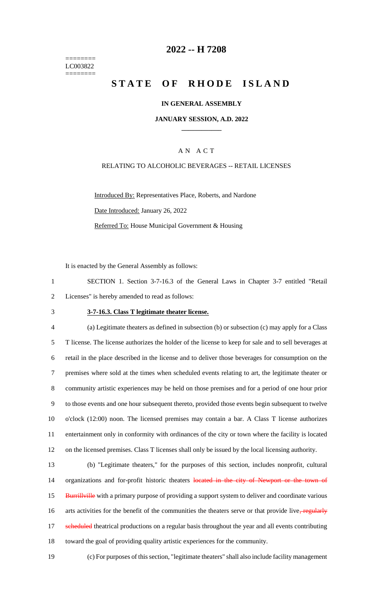======== LC003822 ========

## **2022 -- H 7208**

# **STATE OF RHODE ISLAND**

### **IN GENERAL ASSEMBLY**

## **JANUARY SESSION, A.D. 2022 \_\_\_\_\_\_\_\_\_\_\_\_**

## A N A C T

### RELATING TO ALCOHOLIC BEVERAGES -- RETAIL LICENSES

Introduced By: Representatives Place, Roberts, and Nardone Date Introduced: January 26, 2022 Referred To: House Municipal Government & Housing

It is enacted by the General Assembly as follows:

1 SECTION 1. Section 3-7-16.3 of the General Laws in Chapter 3-7 entitled "Retail 2 Licenses" is hereby amended to read as follows:

#### 3 **3-7-16.3. Class T legitimate theater license.**

 (a) Legitimate theaters as defined in subsection (b) or subsection (c) may apply for a Class T license. The license authorizes the holder of the license to keep for sale and to sell beverages at retail in the place described in the license and to deliver those beverages for consumption on the premises where sold at the times when scheduled events relating to art, the legitimate theater or community artistic experiences may be held on those premises and for a period of one hour prior to those events and one hour subsequent thereto, provided those events begin subsequent to twelve o'clock (12:00) noon. The licensed premises may contain a bar. A Class T license authorizes entertainment only in conformity with ordinances of the city or town where the facility is located on the licensed premises. Class T licenses shall only be issued by the local licensing authority.

13 (b) "Legitimate theaters," for the purposes of this section, includes nonprofit, cultural 14 organizations and for-profit historic theaters located in the city of Newport or the town of 15 Burrillville with a primary purpose of providing a support system to deliver and coordinate various 16 arts activities for the benefit of the communities the theaters serve or that provide live, regularly 17 scheduled theatrical productions on a regular basis throughout the year and all events contributing 18 toward the goal of providing quality artistic experiences for the community.

19 (c) For purposes of this section, "legitimate theaters" shall also include facility management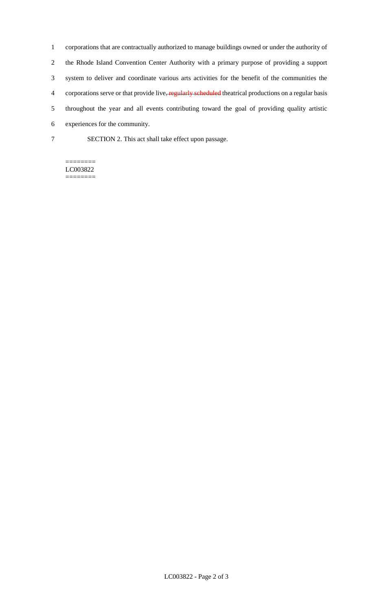corporations that are contractually authorized to manage buildings owned or under the authority of the Rhode Island Convention Center Authority with a primary purpose of providing a support system to deliver and coordinate various arts activities for the benefit of the communities the 4 corporations serve or that provide live, regularly scheduled theatrical productions on a regular basis throughout the year and all events contributing toward the goal of providing quality artistic experiences for the community.

- 
- 7 SECTION 2. This act shall take effect upon passage.

#### ======== LC003822 ========